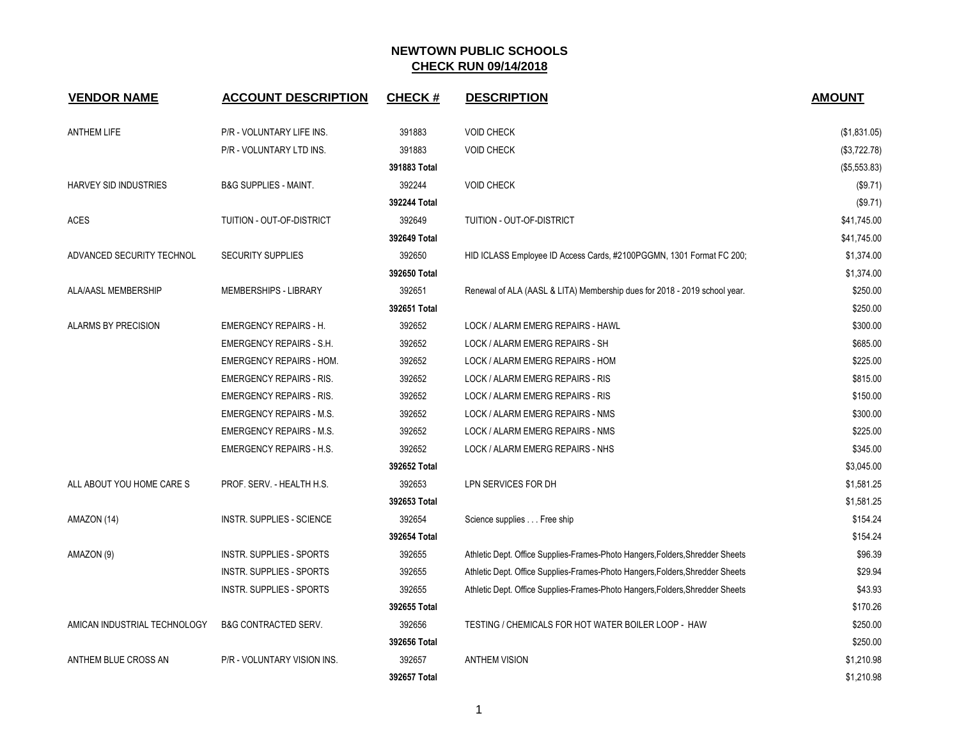| <b>VENDOR NAME</b>           | <b>ACCOUNT DESCRIPTION</b>       | <b>CHECK#</b> | <b>DESCRIPTION</b>                                                            | <b>AMOUNT</b> |
|------------------------------|----------------------------------|---------------|-------------------------------------------------------------------------------|---------------|
| <b>ANTHEM LIFE</b>           | P/R - VOLUNTARY LIFE INS.        | 391883        | <b>VOID CHECK</b>                                                             | (\$1,831.05)  |
|                              | P/R - VOLUNTARY LTD INS.         | 391883        | <b>VOID CHECK</b>                                                             | (\$3,722.78)  |
|                              |                                  | 391883 Total  |                                                                               | (\$5,553.83)  |
| HARVEY SID INDUSTRIES        | <b>B&amp;G SUPPLIES - MAINT.</b> | 392244        | <b>VOID CHECK</b>                                                             | (\$9.71)      |
|                              |                                  | 392244 Total  |                                                                               | (\$9.71)      |
| ACES                         | TUITION - OUT-OF-DISTRICT        | 392649        | TUITION - OUT-OF-DISTRICT                                                     | \$41,745.00   |
|                              |                                  | 392649 Total  |                                                                               | \$41,745.00   |
| ADVANCED SECURITY TECHNOL    | <b>SECURITY SUPPLIES</b>         | 392650        | HID ICLASS Employee ID Access Cards, #2100PGGMN, 1301 Format FC 200;          | \$1,374.00    |
|                              |                                  | 392650 Total  |                                                                               | \$1,374.00    |
| ALA/AASL MEMBERSHIP          | MEMBERSHIPS - LIBRARY            | 392651        | Renewal of ALA (AASL & LITA) Membership dues for 2018 - 2019 school year.     | \$250.00      |
|                              |                                  | 392651 Total  |                                                                               | \$250.00      |
| ALARMS BY PRECISION          | <b>EMERGENCY REPAIRS - H.</b>    | 392652        | LOCK / ALARM EMERG REPAIRS - HAWL                                             | \$300.00      |
|                              | <b>EMERGENCY REPAIRS - S.H.</b>  | 392652        | LOCK / ALARM EMERG REPAIRS - SH                                               | \$685.00      |
|                              | <b>EMERGENCY REPAIRS - HOM.</b>  | 392652        | LOCK / ALARM EMERG REPAIRS - HOM                                              | \$225.00      |
|                              | <b>EMERGENCY REPAIRS - RIS.</b>  | 392652        | LOCK / ALARM EMERG REPAIRS - RIS                                              | \$815.00      |
|                              | <b>EMERGENCY REPAIRS - RIS.</b>  | 392652        | LOCK / ALARM EMERG REPAIRS - RIS                                              | \$150.00      |
|                              | <b>EMERGENCY REPAIRS - M.S.</b>  | 392652        | LOCK / ALARM EMERG REPAIRS - NMS                                              | \$300.00      |
|                              | <b>EMERGENCY REPAIRS - M.S.</b>  | 392652        | LOCK / ALARM EMERG REPAIRS - NMS                                              | \$225.00      |
|                              | <b>EMERGENCY REPAIRS - H.S.</b>  | 392652        | LOCK / ALARM EMERG REPAIRS - NHS                                              | \$345.00      |
|                              |                                  | 392652 Total  |                                                                               | \$3,045.00    |
| ALL ABOUT YOU HOME CARE S    | PROF. SERV. - HEALTH H.S.        | 392653        | LPN SERVICES FOR DH                                                           | \$1,581.25    |
|                              |                                  | 392653 Total  |                                                                               | \$1,581.25    |
| AMAZON (14)                  | INSTR. SUPPLIES - SCIENCE        | 392654        | Science supplies Free ship                                                    | \$154.24      |
|                              |                                  | 392654 Total  |                                                                               | \$154.24      |
| AMAZON (9)                   | <b>INSTR. SUPPLIES - SPORTS</b>  | 392655        | Athletic Dept. Office Supplies-Frames-Photo Hangers, Folders, Shredder Sheets | \$96.39       |
|                              | <b>INSTR. SUPPLIES - SPORTS</b>  | 392655        | Athletic Dept. Office Supplies-Frames-Photo Hangers, Folders, Shredder Sheets | \$29.94       |
|                              | INSTR. SUPPLIES - SPORTS         | 392655        | Athletic Dept. Office Supplies-Frames-Photo Hangers, Folders, Shredder Sheets | \$43.93       |
|                              |                                  | 392655 Total  |                                                                               | \$170.26      |
| AMICAN INDUSTRIAL TECHNOLOGY | <b>B&amp;G CONTRACTED SERV.</b>  | 392656        | TESTING / CHEMICALS FOR HOT WATER BOILER LOOP - HAW                           | \$250.00      |
|                              |                                  | 392656 Total  |                                                                               | \$250.00      |
| ANTHEM BLUE CROSS AN         | P/R - VOLUNTARY VISION INS.      | 392657        | <b>ANTHEM VISION</b>                                                          | \$1,210.98    |
|                              |                                  | 392657 Total  |                                                                               | \$1,210.98    |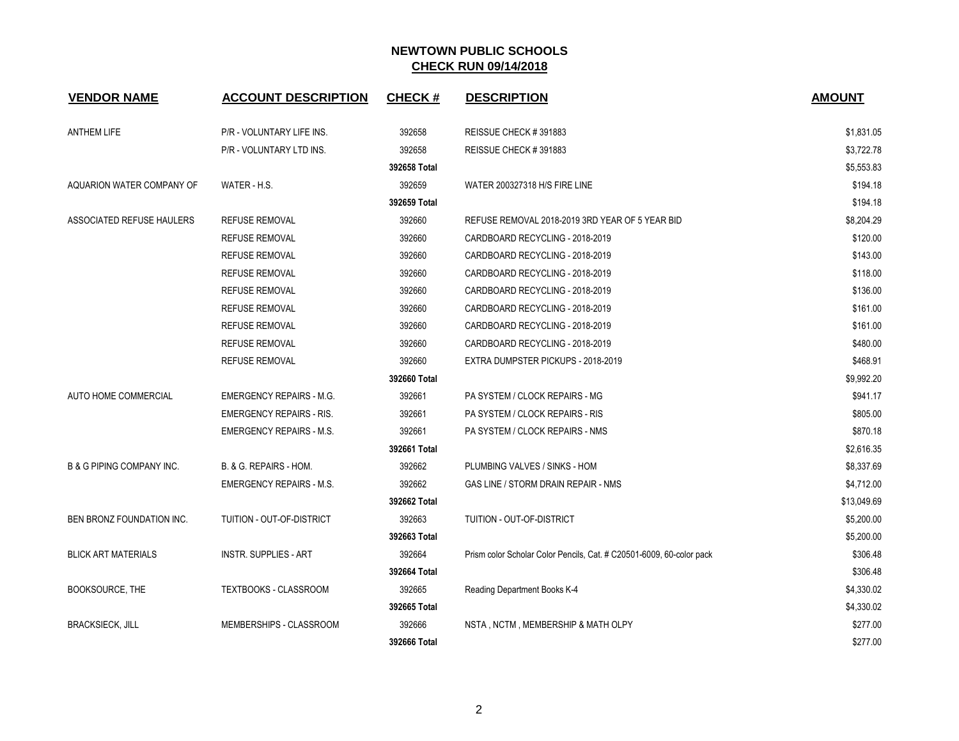| <b>VENDOR NAME</b>                   | <b>ACCOUNT DESCRIPTION</b>      | <b>CHECK#</b> | <b>DESCRIPTION</b>                                                   | <b>AMOUNT</b> |
|--------------------------------------|---------------------------------|---------------|----------------------------------------------------------------------|---------------|
| <b>ANTHEM LIFE</b>                   | P/R - VOLUNTARY LIFE INS.       | 392658        | REISSUE CHECK #391883                                                | \$1,831.05    |
|                                      | P/R - VOLUNTARY LTD INS.        | 392658        | REISSUE CHECK #391883                                                | \$3,722.78    |
|                                      |                                 | 392658 Total  |                                                                      | \$5,553.83    |
| AQUARION WATER COMPANY OF            | WATER - H.S.                    | 392659        | WATER 200327318 H/S FIRE LINE                                        | \$194.18      |
|                                      |                                 | 392659 Total  |                                                                      | \$194.18      |
| ASSOCIATED REFUSE HAULERS            | <b>REFUSE REMOVAL</b>           | 392660        | REFUSE REMOVAL 2018-2019 3RD YEAR OF 5 YEAR BID                      | \$8,204.29    |
|                                      | <b>REFUSE REMOVAL</b>           | 392660        | CARDBOARD RECYCLING - 2018-2019                                      | \$120.00      |
|                                      | <b>REFUSE REMOVAL</b>           | 392660        | CARDBOARD RECYCLING - 2018-2019                                      | \$143.00      |
|                                      | <b>REFUSE REMOVAL</b>           | 392660        | CARDBOARD RECYCLING - 2018-2019                                      | \$118.00      |
|                                      | <b>REFUSE REMOVAL</b>           | 392660        | CARDBOARD RECYCLING - 2018-2019                                      | \$136.00      |
|                                      | <b>REFUSE REMOVAL</b>           | 392660        | CARDBOARD RECYCLING - 2018-2019                                      | \$161.00      |
|                                      | <b>REFUSE REMOVAL</b>           | 392660        | CARDBOARD RECYCLING - 2018-2019                                      | \$161.00      |
|                                      | <b>REFUSE REMOVAL</b>           | 392660        | CARDBOARD RECYCLING - 2018-2019                                      | \$480.00      |
|                                      | REFUSE REMOVAL                  | 392660        | EXTRA DUMPSTER PICKUPS - 2018-2019                                   | \$468.91      |
|                                      |                                 | 392660 Total  |                                                                      | \$9,992.20    |
| AUTO HOME COMMERCIAL                 | <b>EMERGENCY REPAIRS - M.G.</b> | 392661        | PA SYSTEM / CLOCK REPAIRS - MG                                       | \$941.17      |
|                                      | <b>EMERGENCY REPAIRS - RIS.</b> | 392661        | PA SYSTEM / CLOCK REPAIRS - RIS                                      | \$805.00      |
|                                      | <b>EMERGENCY REPAIRS - M.S.</b> | 392661        | PA SYSTEM / CLOCK REPAIRS - NMS                                      | \$870.18      |
|                                      |                                 | 392661 Total  |                                                                      | \$2,616.35    |
| <b>B &amp; G PIPING COMPANY INC.</b> | B. & G. REPAIRS - HOM.          | 392662        | PLUMBING VALVES / SINKS - HOM                                        | \$8,337.69    |
|                                      | <b>EMERGENCY REPAIRS - M.S.</b> | 392662        | GAS LINE / STORM DRAIN REPAIR - NMS                                  | \$4,712.00    |
|                                      |                                 | 392662 Total  |                                                                      | \$13,049.69   |
| <b>BEN BRONZ FOUNDATION INC.</b>     | TUITION - OUT-OF-DISTRICT       | 392663        | TUITION - OUT-OF-DISTRICT                                            | \$5,200.00    |
|                                      |                                 | 392663 Total  |                                                                      | \$5,200.00    |
| <b>BLICK ART MATERIALS</b>           | <b>INSTR. SUPPLIES - ART</b>    | 392664        | Prism color Scholar Color Pencils, Cat. # C20501-6009, 60-color pack | \$306.48      |
|                                      |                                 | 392664 Total  |                                                                      | \$306.48      |
| BOOKSOURCE, THE                      | <b>TEXTBOOKS - CLASSROOM</b>    | 392665        | Reading Department Books K-4                                         | \$4,330.02    |
|                                      |                                 | 392665 Total  |                                                                      | \$4,330.02    |
| <b>BRACKSIECK, JILL</b>              | MEMBERSHIPS - CLASSROOM         | 392666        | NSTA, NCTM, MEMBERSHIP & MATH OLPY                                   | \$277.00      |
|                                      |                                 | 392666 Total  |                                                                      | \$277.00      |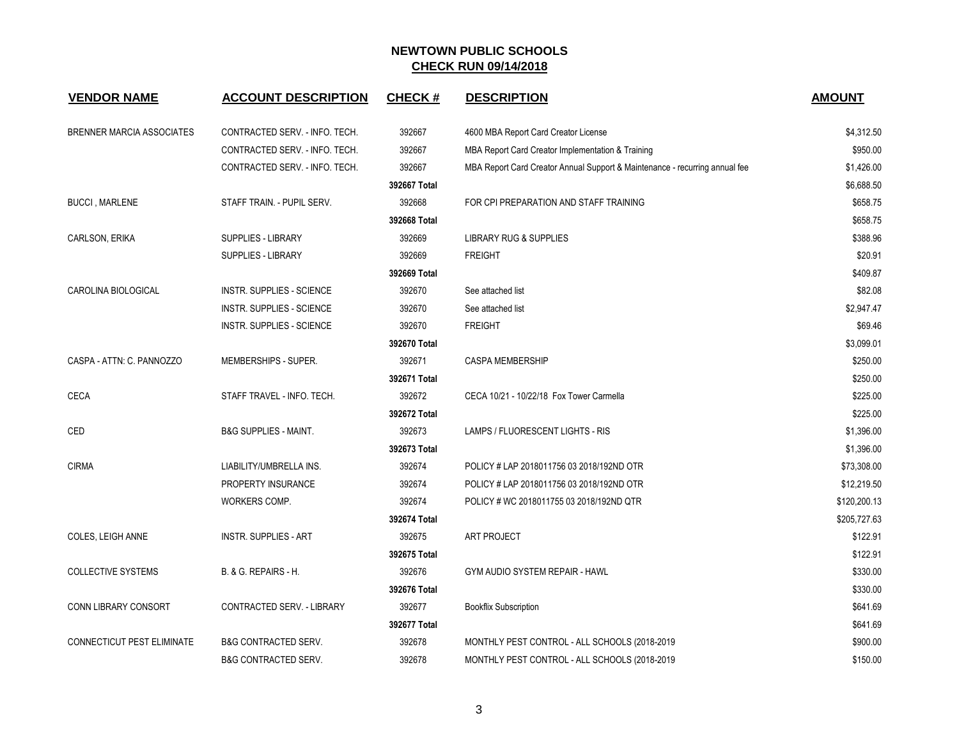| <b>VENDOR NAME</b>               | <b>ACCOUNT DESCRIPTION</b>       | <b>CHECK#</b> | <b>DESCRIPTION</b>                                                          | <b>AMOUNT</b> |
|----------------------------------|----------------------------------|---------------|-----------------------------------------------------------------------------|---------------|
| <b>BRENNER MARCIA ASSOCIATES</b> | CONTRACTED SERV. - INFO. TECH.   | 392667        | 4600 MBA Report Card Creator License                                        | \$4,312.50    |
|                                  | CONTRACTED SERV. - INFO. TECH.   | 392667        | MBA Report Card Creator Implementation & Training                           | \$950.00      |
|                                  | CONTRACTED SERV. - INFO. TECH.   | 392667        | MBA Report Card Creator Annual Support & Maintenance - recurring annual fee | \$1,426.00    |
|                                  |                                  | 392667 Total  |                                                                             | \$6,688.50    |
| <b>BUCCI, MARLENE</b>            | STAFF TRAIN. - PUPIL SERV.       | 392668        | FOR CPI PREPARATION AND STAFF TRAINING                                      | \$658.75      |
|                                  |                                  | 392668 Total  |                                                                             | \$658.75      |
| CARLSON, ERIKA                   | SUPPLIES - LIBRARY               | 392669        | LIBRARY RUG & SUPPLIES                                                      | \$388.96      |
|                                  | SUPPLIES - LIBRARY               | 392669        | <b>FREIGHT</b>                                                              | \$20.91       |
|                                  |                                  | 392669 Total  |                                                                             | \$409.87      |
| CAROLINA BIOLOGICAL              | <b>INSTR. SUPPLIES - SCIENCE</b> | 392670        | See attached list                                                           | \$82.08       |
|                                  | INSTR. SUPPLIES - SCIENCE        | 392670        | See attached list                                                           | \$2.947.47    |
|                                  | <b>INSTR. SUPPLIES - SCIENCE</b> | 392670        | <b>FREIGHT</b>                                                              | \$69.46       |
|                                  |                                  | 392670 Total  |                                                                             | \$3,099.01    |
| CASPA - ATTN: C. PANNOZZO        | MEMBERSHIPS - SUPER.             | 392671        | <b>CASPA MEMBERSHIP</b>                                                     | \$250.00      |
|                                  |                                  | 392671 Total  |                                                                             | \$250.00      |
| CECA                             | STAFF TRAVEL - INFO. TECH.       | 392672        | CECA 10/21 - 10/22/18 Fox Tower Carmella                                    | \$225.00      |
|                                  |                                  | 392672 Total  |                                                                             | \$225.00      |
| CED                              | <b>B&amp;G SUPPLIES - MAINT.</b> | 392673        | LAMPS / FLUORESCENT LIGHTS - RIS                                            | \$1,396.00    |
|                                  |                                  | 392673 Total  |                                                                             | \$1,396.00    |
| <b>CIRMA</b>                     | LIABILITY/UMBRELLA INS.          | 392674        | POLICY # LAP 2018011756 03 2018/192ND OTR                                   | \$73,308.00   |
|                                  | PROPERTY INSURANCE               | 392674        | POLICY # LAP 2018011756 03 2018/192ND OTR                                   | \$12,219.50   |
|                                  | WORKERS COMP.                    | 392674        | POLICY # WC 2018011755 03 2018/192ND QTR                                    | \$120,200.13  |
|                                  |                                  | 392674 Total  |                                                                             | \$205,727.63  |
| COLES, LEIGH ANNE                | <b>INSTR. SUPPLIES - ART</b>     | 392675        | <b>ART PROJECT</b>                                                          | \$122.91      |
|                                  |                                  | 392675 Total  |                                                                             | \$122.91      |
| <b>COLLECTIVE SYSTEMS</b>        | B. & G. REPAIRS - H.             | 392676        | <b>GYM AUDIO SYSTEM REPAIR - HAWL</b>                                       | \$330.00      |
|                                  |                                  | 392676 Total  |                                                                             | \$330.00      |
| CONN LIBRARY CONSORT             | CONTRACTED SERV. - LIBRARY       | 392677        | <b>Bookflix Subscription</b>                                                | \$641.69      |
|                                  |                                  | 392677 Total  |                                                                             | \$641.69      |
| CONNECTICUT PEST ELIMINATE       | <b>B&amp;G CONTRACTED SERV.</b>  | 392678        | MONTHLY PEST CONTROL - ALL SCHOOLS (2018-2019                               | \$900.00      |
|                                  | <b>B&amp;G CONTRACTED SERV.</b>  | 392678        | MONTHLY PEST CONTROL - ALL SCHOOLS (2018-2019                               | \$150.00      |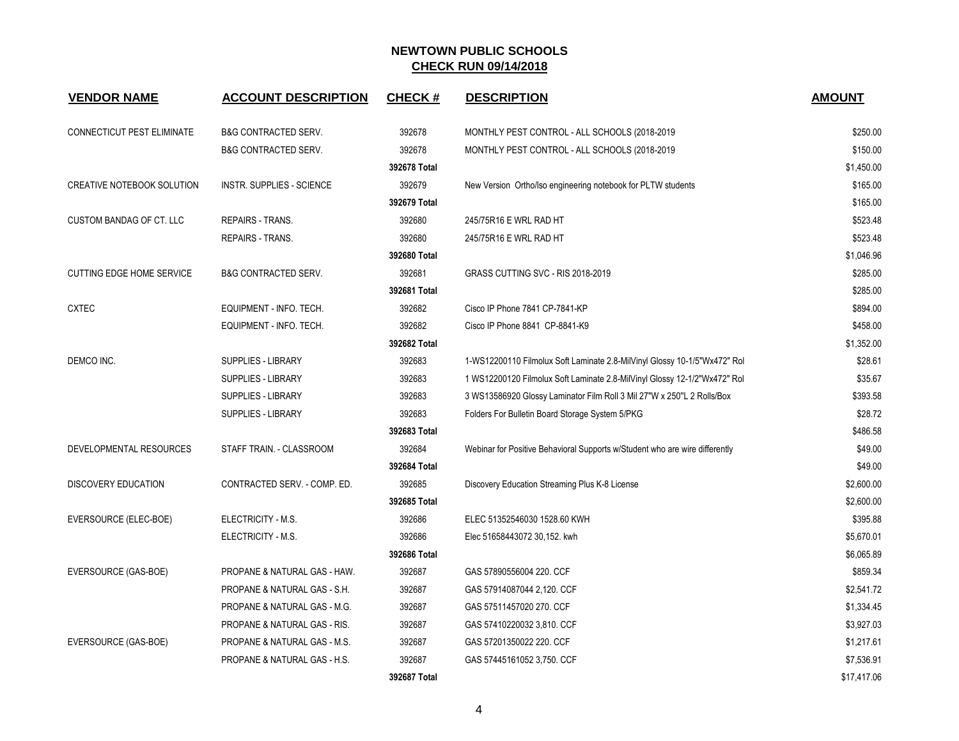| <b>VENDOR NAME</b>               | <b>ACCOUNT DESCRIPTION</b>       | <b>CHECK#</b> | <b>DESCRIPTION</b>                                                          | <b>AMOUNT</b> |
|----------------------------------|----------------------------------|---------------|-----------------------------------------------------------------------------|---------------|
| CONNECTICUT PEST ELIMINATE       | <b>B&amp;G CONTRACTED SERV.</b>  | 392678        | MONTHLY PEST CONTROL - ALL SCHOOLS (2018-2019                               | \$250.00      |
|                                  | <b>B&amp;G CONTRACTED SERV.</b>  | 392678        | MONTHLY PEST CONTROL - ALL SCHOOLS (2018-2019                               | \$150.00      |
|                                  |                                  | 392678 Total  |                                                                             | \$1,450.00    |
| CREATIVE NOTEBOOK SOLUTION       | <b>INSTR. SUPPLIES - SCIENCE</b> | 392679        | New Version Ortho/Iso engineering notebook for PLTW students                | \$165.00      |
|                                  |                                  | 392679 Total  |                                                                             | \$165.00      |
| CUSTOM BANDAG OF CT. LLC         | <b>REPAIRS - TRANS.</b>          | 392680        | 245/75R16 E WRL RAD HT                                                      | \$523.48      |
|                                  | REPAIRS - TRANS.                 | 392680        | 245/75R16 E WRL RAD HT                                                      | \$523.48      |
|                                  |                                  | 392680 Total  |                                                                             | \$1,046.96    |
| <b>CUTTING EDGE HOME SERVICE</b> | <b>B&amp;G CONTRACTED SERV.</b>  | 392681        | GRASS CUTTING SVC - RIS 2018-2019                                           | \$285.00      |
|                                  |                                  | 392681 Total  |                                                                             | \$285.00      |
| <b>CXTEC</b>                     | EQUIPMENT - INFO. TECH.          | 392682        | Cisco IP Phone 7841 CP-7841-KP                                              | \$894.00      |
|                                  | EQUIPMENT - INFO. TECH.          | 392682        | Cisco IP Phone 8841 CP-8841-K9                                              | \$458.00      |
|                                  |                                  | 392682 Total  |                                                                             | \$1,352.00    |
| DEMCO INC.                       | SUPPLIES - LIBRARY               | 392683        | 1-WS12200110 Filmolux Soft Laminate 2.8-MilVinyl Glossy 10-1/5"Wx472" Rol   | \$28.61       |
|                                  | SUPPLIES - LIBRARY               | 392683        | 1 WS12200120 Filmolux Soft Laminate 2.8-MilVinyl Glossy 12-1/2"Wx472" Rol   | \$35.67       |
|                                  | <b>SUPPLIES - LIBRARY</b>        | 392683        | 3 WS13586920 Glossy Laminator Film Roll 3 Mil 27"W x 250"L 2 Rolls/Box      | \$393.58      |
|                                  | <b>SUPPLIES - LIBRARY</b>        | 392683        | Folders For Bulletin Board Storage System 5/PKG                             | \$28.72       |
|                                  |                                  | 392683 Total  |                                                                             | \$486.58      |
| DEVELOPMENTAL RESOURCES          | STAFF TRAIN. - CLASSROOM         | 392684        | Webinar for Positive Behavioral Supports w/Student who are wire differently | \$49.00       |
|                                  |                                  | 392684 Total  |                                                                             | \$49.00       |
| <b>DISCOVERY EDUCATION</b>       | CONTRACTED SERV. - COMP. ED.     | 392685        | Discovery Education Streaming Plus K-8 License                              | \$2,600.00    |
|                                  |                                  | 392685 Total  |                                                                             | \$2,600.00    |
| EVERSOURCE (ELEC-BOE)            | ELECTRICITY - M.S.               | 392686        | ELEC 51352546030 1528.60 KWH                                                | \$395.88      |
|                                  | ELECTRICITY - M.S.               | 392686        | Elec 51658443072 30,152. kwh                                                | \$5,670.01    |
|                                  |                                  | 392686 Total  |                                                                             | \$6,065.89    |
| EVERSOURCE (GAS-BOE)             | PROPANE & NATURAL GAS - HAW.     | 392687        | GAS 57890556004 220. CCF                                                    | \$859.34      |
|                                  | PROPANE & NATURAL GAS - S.H.     | 392687        | GAS 57914087044 2,120. CCF                                                  | \$2,541.72    |
|                                  | PROPANE & NATURAL GAS - M.G.     | 392687        | GAS 57511457020 270. CCF                                                    | \$1,334.45    |
|                                  | PROPANE & NATURAL GAS - RIS.     | 392687        | GAS 57410220032 3,810. CCF                                                  | \$3,927.03    |
| EVERSOURCE (GAS-BOE)             | PROPANE & NATURAL GAS - M.S.     | 392687        | GAS 57201350022 220. CCF                                                    | \$1,217.61    |
|                                  | PROPANE & NATURAL GAS - H.S.     | 392687        | GAS 57445161052 3,750. CCF                                                  | \$7,536.91    |
|                                  |                                  | 392687 Total  |                                                                             | \$17,417.06   |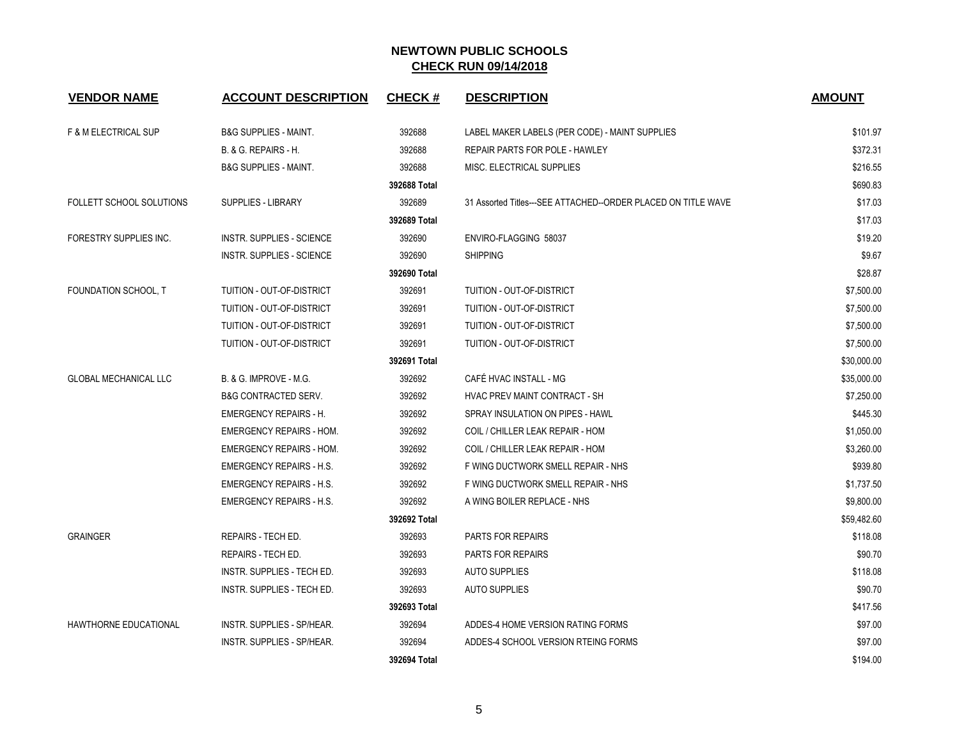| <b>VENDOR NAME</b>              | <b>ACCOUNT DESCRIPTION</b>        | <b>CHECK#</b> | <b>DESCRIPTION</b>                                            | <b>AMOUNT</b> |
|---------------------------------|-----------------------------------|---------------|---------------------------------------------------------------|---------------|
| <b>F &amp; M ELECTRICAL SUP</b> | <b>B&amp;G SUPPLIES - MAINT.</b>  | 392688        | LABEL MAKER LABELS (PER CODE) - MAINT SUPPLIES                | \$101.97      |
|                                 | B. & G. REPAIRS - H.              | 392688        | <b>REPAIR PARTS FOR POLE - HAWLEY</b>                         | \$372.31      |
|                                 | <b>B&amp;G SUPPLIES - MAINT.</b>  | 392688        | MISC. ELECTRICAL SUPPLIES                                     | \$216.55      |
|                                 |                                   | 392688 Total  |                                                               | \$690.83      |
| FOLLETT SCHOOL SOLUTIONS        | <b>SUPPLIES - LIBRARY</b>         | 392689        | 31 Assorted Titles---SEE ATTACHED--ORDER PLACED ON TITLE WAVE | \$17.03       |
|                                 |                                   | 392689 Total  |                                                               | \$17.03       |
| FORESTRY SUPPLIES INC.          | <b>INSTR. SUPPLIES - SCIENCE</b>  | 392690        | ENVIRO-FLAGGING 58037                                         | \$19.20       |
|                                 | <b>INSTR. SUPPLIES - SCIENCE</b>  | 392690        | <b>SHIPPING</b>                                               | \$9.67        |
|                                 |                                   | 392690 Total  |                                                               | \$28.87       |
| <b>FOUNDATION SCHOOL. T</b>     | TUITION - OUT-OF-DISTRICT         | 392691        | TUITION - OUT-OF-DISTRICT                                     | \$7,500.00    |
|                                 | TUITION - OUT-OF-DISTRICT         | 392691        | TUITION - OUT-OF-DISTRICT                                     | \$7,500.00    |
|                                 | TUITION - OUT-OF-DISTRICT         | 392691        | TUITION - OUT-OF-DISTRICT                                     | \$7,500.00    |
|                                 | TUITION - OUT-OF-DISTRICT         | 392691        | TUITION - OUT-OF-DISTRICT                                     | \$7,500.00    |
|                                 |                                   | 392691 Total  |                                                               | \$30,000.00   |
| <b>GLOBAL MECHANICAL LLC</b>    | <b>B. &amp; G. IMPROVE - M.G.</b> | 392692        | CAFÉ HVAC INSTALL - MG                                        | \$35,000.00   |
|                                 | <b>B&amp;G CONTRACTED SERV.</b>   | 392692        | HVAC PREV MAINT CONTRACT - SH                                 | \$7,250.00    |
|                                 | <b>EMERGENCY REPAIRS - H.</b>     | 392692        | SPRAY INSULATION ON PIPES - HAWL                              | \$445.30      |
|                                 | <b>EMERGENCY REPAIRS - HOM.</b>   | 392692        | COIL / CHILLER LEAK REPAIR - HOM                              | \$1,050.00    |
|                                 | <b>EMERGENCY REPAIRS - HOM.</b>   | 392692        | COIL / CHILLER LEAK REPAIR - HOM                              | \$3,260.00    |
|                                 | <b>EMERGENCY REPAIRS - H.S.</b>   | 392692        | F WING DUCTWORK SMELL REPAIR - NHS                            | \$939.80      |
|                                 | <b>EMERGENCY REPAIRS - H.S.</b>   | 392692        | F WING DUCTWORK SMELL REPAIR - NHS                            | \$1,737.50    |
|                                 | <b>EMERGENCY REPAIRS - H.S.</b>   | 392692        | A WING BOILER REPLACE - NHS                                   | \$9,800.00    |
|                                 |                                   | 392692 Total  |                                                               | \$59,482.60   |
| <b>GRAINGER</b>                 | REPAIRS - TECH ED.                | 392693        | PARTS FOR REPAIRS                                             | \$118.08      |
|                                 | REPAIRS - TECH ED.                | 392693        | <b>PARTS FOR REPAIRS</b>                                      | \$90.70       |
|                                 | INSTR. SUPPLIES - TECH ED.        | 392693        | <b>AUTO SUPPLIES</b>                                          | \$118.08      |
|                                 | INSTR. SUPPLIES - TECH ED.        | 392693        | <b>AUTO SUPPLIES</b>                                          | \$90.70       |
|                                 |                                   | 392693 Total  |                                                               | \$417.56      |
| <b>HAWTHORNE EDUCATIONAL</b>    | <b>INSTR. SUPPLIES - SP/HEAR.</b> | 392694        | ADDES-4 HOME VERSION RATING FORMS                             | \$97.00       |
|                                 | <b>INSTR. SUPPLIES - SP/HEAR.</b> | 392694        | ADDES-4 SCHOOL VERSION RTEING FORMS                           | \$97.00       |
|                                 |                                   | 392694 Total  |                                                               | \$194.00      |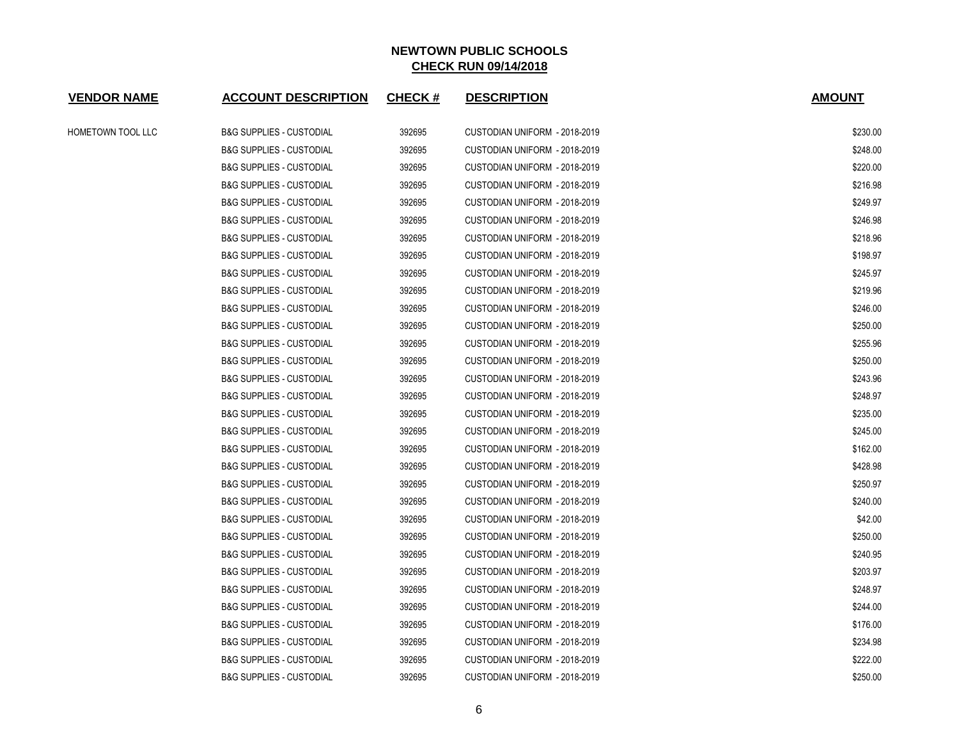| <b>VENDOR NAME</b> | <b>ACCOUNT DESCRIPTION</b>          | <b>CHECK#</b> | <b>DESCRIPTION</b>            | <b>AMOUNT</b> |
|--------------------|-------------------------------------|---------------|-------------------------------|---------------|
| HOMETOWN TOOL LLC  | <b>B&amp;G SUPPLIES - CUSTODIAL</b> | 392695        | CUSTODIAN UNIFORM - 2018-2019 | \$230.00      |
|                    | <b>B&amp;G SUPPLIES - CUSTODIAL</b> | 392695        | CUSTODIAN UNIFORM - 2018-2019 | \$248.00      |
|                    | <b>B&amp;G SUPPLIES - CUSTODIAL</b> | 392695        | CUSTODIAN UNIFORM - 2018-2019 | \$220.00      |
|                    | <b>B&amp;G SUPPLIES - CUSTODIAL</b> | 392695        | CUSTODIAN UNIFORM - 2018-2019 | \$216.98      |
|                    | <b>B&amp;G SUPPLIES - CUSTODIAL</b> | 392695        | CUSTODIAN UNIFORM - 2018-2019 | \$249.97      |
|                    | <b>B&amp;G SUPPLIES - CUSTODIAL</b> | 392695        | CUSTODIAN UNIFORM - 2018-2019 | \$246.98      |
|                    | <b>B&amp;G SUPPLIES - CUSTODIAL</b> | 392695        | CUSTODIAN UNIFORM - 2018-2019 | \$218.96      |
|                    | <b>B&amp;G SUPPLIES - CUSTODIAL</b> | 392695        | CUSTODIAN UNIFORM - 2018-2019 | \$198.97      |
|                    | <b>B&amp;G SUPPLIES - CUSTODIAL</b> | 392695        | CUSTODIAN UNIFORM - 2018-2019 | \$245.97      |
|                    | <b>B&amp;G SUPPLIES - CUSTODIAL</b> | 392695        | CUSTODIAN UNIFORM - 2018-2019 | \$219.96      |
|                    | <b>B&amp;G SUPPLIES - CUSTODIAL</b> | 392695        | CUSTODIAN UNIFORM - 2018-2019 | \$246.00      |
|                    | <b>B&amp;G SUPPLIES - CUSTODIAL</b> | 392695        | CUSTODIAN UNIFORM - 2018-2019 | \$250.00      |
|                    | <b>B&amp;G SUPPLIES - CUSTODIAL</b> | 392695        | CUSTODIAN UNIFORM - 2018-2019 | \$255.96      |
|                    | <b>B&amp;G SUPPLIES - CUSTODIAL</b> | 392695        | CUSTODIAN UNIFORM - 2018-2019 | \$250.00      |
|                    | <b>B&amp;G SUPPLIES - CUSTODIAL</b> | 392695        | CUSTODIAN UNIFORM - 2018-2019 | \$243.96      |
|                    | <b>B&amp;G SUPPLIES - CUSTODIAL</b> | 392695        | CUSTODIAN UNIFORM - 2018-2019 | \$248.97      |
|                    | <b>B&amp;G SUPPLIES - CUSTODIAL</b> | 392695        | CUSTODIAN UNIFORM - 2018-2019 | \$235.00      |
|                    | <b>B&amp;G SUPPLIES - CUSTODIAL</b> | 392695        | CUSTODIAN UNIFORM - 2018-2019 | \$245.00      |
|                    | <b>B&amp;G SUPPLIES - CUSTODIAL</b> | 392695        | CUSTODIAN UNIFORM - 2018-2019 | \$162.00      |
|                    | <b>B&amp;G SUPPLIES - CUSTODIAL</b> | 392695        | CUSTODIAN UNIFORM - 2018-2019 | \$428.98      |
|                    | <b>B&amp;G SUPPLIES - CUSTODIAL</b> | 392695        | CUSTODIAN UNIFORM - 2018-2019 | \$250.97      |
|                    | <b>B&amp;G SUPPLIES - CUSTODIAL</b> | 392695        | CUSTODIAN UNIFORM - 2018-2019 | \$240.00      |
|                    | <b>B&amp;G SUPPLIES - CUSTODIAL</b> | 392695        | CUSTODIAN UNIFORM - 2018-2019 | \$42.00       |
|                    | <b>B&amp;G SUPPLIES - CUSTODIAL</b> | 392695        | CUSTODIAN UNIFORM - 2018-2019 | \$250.00      |
|                    | <b>B&amp;G SUPPLIES - CUSTODIAL</b> | 392695        | CUSTODIAN UNIFORM - 2018-2019 | \$240.95      |
|                    | <b>B&amp;G SUPPLIES - CUSTODIAL</b> | 392695        | CUSTODIAN UNIFORM - 2018-2019 | \$203.97      |
|                    | <b>B&amp;G SUPPLIES - CUSTODIAL</b> | 392695        | CUSTODIAN UNIFORM - 2018-2019 | \$248.97      |
|                    | <b>B&amp;G SUPPLIES - CUSTODIAL</b> | 392695        | CUSTODIAN UNIFORM - 2018-2019 | \$244.00      |
|                    | <b>B&amp;G SUPPLIES - CUSTODIAL</b> | 392695        | CUSTODIAN UNIFORM - 2018-2019 | \$176.00      |
|                    | <b>B&amp;G SUPPLIES - CUSTODIAL</b> | 392695        | CUSTODIAN UNIFORM - 2018-2019 | \$234.98      |
|                    | <b>B&amp;G SUPPLIES - CUSTODIAL</b> | 392695        | CUSTODIAN UNIFORM - 2018-2019 | \$222.00      |
|                    | <b>B&amp;G SUPPLIES - CUSTODIAL</b> | 392695        | CUSTODIAN UNIFORM - 2018-2019 | \$250.00      |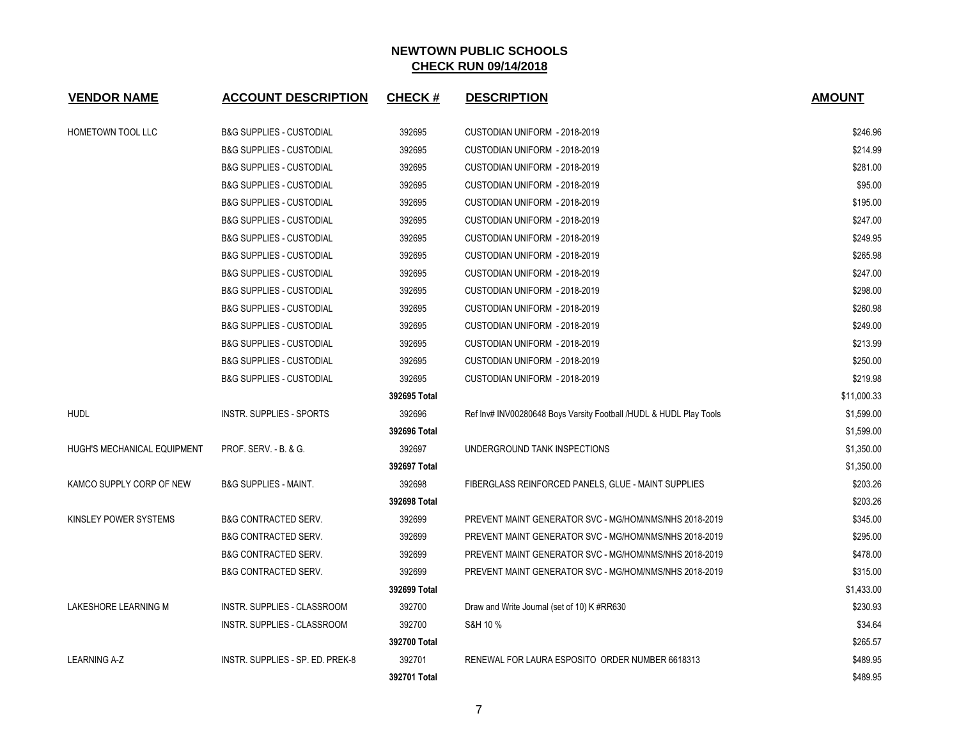| <b>VENDOR NAME</b>                 | <b>ACCOUNT DESCRIPTION</b>          | <b>CHECK#</b> | <b>DESCRIPTION</b>                                                 | <b>AMOUNT</b> |
|------------------------------------|-------------------------------------|---------------|--------------------------------------------------------------------|---------------|
| HOMETOWN TOOL LLC                  | <b>B&amp;G SUPPLIES - CUSTODIAL</b> | 392695        | CUSTODIAN UNIFORM - 2018-2019                                      | \$246.96      |
|                                    | <b>B&amp;G SUPPLIES - CUSTODIAL</b> | 392695        | CUSTODIAN UNIFORM - 2018-2019                                      | \$214.99      |
|                                    | <b>B&amp;G SUPPLIES - CUSTODIAL</b> | 392695        | CUSTODIAN UNIFORM - 2018-2019                                      | \$281.00      |
|                                    | <b>B&amp;G SUPPLIES - CUSTODIAL</b> | 392695        | CUSTODIAN UNIFORM - 2018-2019                                      | \$95.00       |
|                                    | <b>B&amp;G SUPPLIES - CUSTODIAL</b> | 392695        | CUSTODIAN UNIFORM - 2018-2019                                      | \$195.00      |
|                                    | <b>B&amp;G SUPPLIES - CUSTODIAL</b> | 392695        | CUSTODIAN UNIFORM - 2018-2019                                      | \$247.00      |
|                                    | <b>B&amp;G SUPPLIES - CUSTODIAL</b> | 392695        | CUSTODIAN UNIFORM - 2018-2019                                      | \$249.95      |
|                                    | <b>B&amp;G SUPPLIES - CUSTODIAL</b> | 392695        | CUSTODIAN UNIFORM - 2018-2019                                      | \$265.98      |
|                                    | <b>B&amp;G SUPPLIES - CUSTODIAL</b> | 392695        | CUSTODIAN UNIFORM - 2018-2019                                      | \$247.00      |
|                                    | <b>B&amp;G SUPPLIES - CUSTODIAL</b> | 392695        | CUSTODIAN UNIFORM - 2018-2019                                      | \$298.00      |
|                                    | <b>B&amp;G SUPPLIES - CUSTODIAL</b> | 392695        | CUSTODIAN UNIFORM - 2018-2019                                      | \$260.98      |
|                                    | <b>B&amp;G SUPPLIES - CUSTODIAL</b> | 392695        | CUSTODIAN UNIFORM - 2018-2019                                      | \$249.00      |
|                                    | <b>B&amp;G SUPPLIES - CUSTODIAL</b> | 392695        | CUSTODIAN UNIFORM - 2018-2019                                      | \$213.99      |
|                                    | <b>B&amp;G SUPPLIES - CUSTODIAL</b> | 392695        | CUSTODIAN UNIFORM - 2018-2019                                      | \$250.00      |
|                                    | <b>B&amp;G SUPPLIES - CUSTODIAL</b> | 392695        | CUSTODIAN UNIFORM - 2018-2019                                      | \$219.98      |
|                                    |                                     | 392695 Total  |                                                                    | \$11,000.33   |
| <b>HUDL</b>                        | <b>INSTR. SUPPLIES - SPORTS</b>     | 392696        | Ref Inv# INV00280648 Boys Varsity Football /HUDL & HUDL Play Tools | \$1,599.00    |
|                                    |                                     | 392696 Total  |                                                                    | \$1,599.00    |
| <b>HUGH'S MECHANICAL EQUIPMENT</b> | PROF. SERV. - B. & G.               | 392697        | UNDERGROUND TANK INSPECTIONS                                       | \$1,350.00    |
|                                    |                                     | 392697 Total  |                                                                    | \$1,350.00    |
| KAMCO SUPPLY CORP OF NEW           | <b>B&amp;G SUPPLIES - MAINT.</b>    | 392698        | FIBERGLASS REINFORCED PANELS, GLUE - MAINT SUPPLIES                | \$203.26      |
|                                    |                                     | 392698 Total  |                                                                    | \$203.26      |
| KINSLEY POWER SYSTEMS              | <b>B&amp;G CONTRACTED SERV.</b>     | 392699        | PREVENT MAINT GENERATOR SVC - MG/HOM/NMS/NHS 2018-2019             | \$345.00      |
|                                    | <b>B&amp;G CONTRACTED SERV.</b>     | 392699        | PREVENT MAINT GENERATOR SVC - MG/HOM/NMS/NHS 2018-2019             | \$295.00      |
|                                    | <b>B&amp;G CONTRACTED SERV.</b>     | 392699        | PREVENT MAINT GENERATOR SVC - MG/HOM/NMS/NHS 2018-2019             | \$478.00      |
|                                    | B&G CONTRACTED SERV.                | 392699        | PREVENT MAINT GENERATOR SVC - MG/HOM/NMS/NHS 2018-2019             | \$315.00      |
|                                    |                                     | 392699 Total  |                                                                    | \$1,433.00    |
| LAKESHORE LEARNING M               | INSTR. SUPPLIES - CLASSROOM         | 392700        | Draw and Write Journal (set of 10) K #RR630                        | \$230.93      |
|                                    | INSTR. SUPPLIES - CLASSROOM         | 392700        | S&H 10 %                                                           | \$34.64       |
|                                    |                                     | 392700 Total  |                                                                    | \$265.57      |
| <b>LEARNING A-Z</b>                | INSTR. SUPPLIES - SP. ED. PREK-8    | 392701        | RENEWAL FOR LAURA ESPOSITO ORDER NUMBER 6618313                    | \$489.95      |
|                                    |                                     | 392701 Total  |                                                                    | \$489.95      |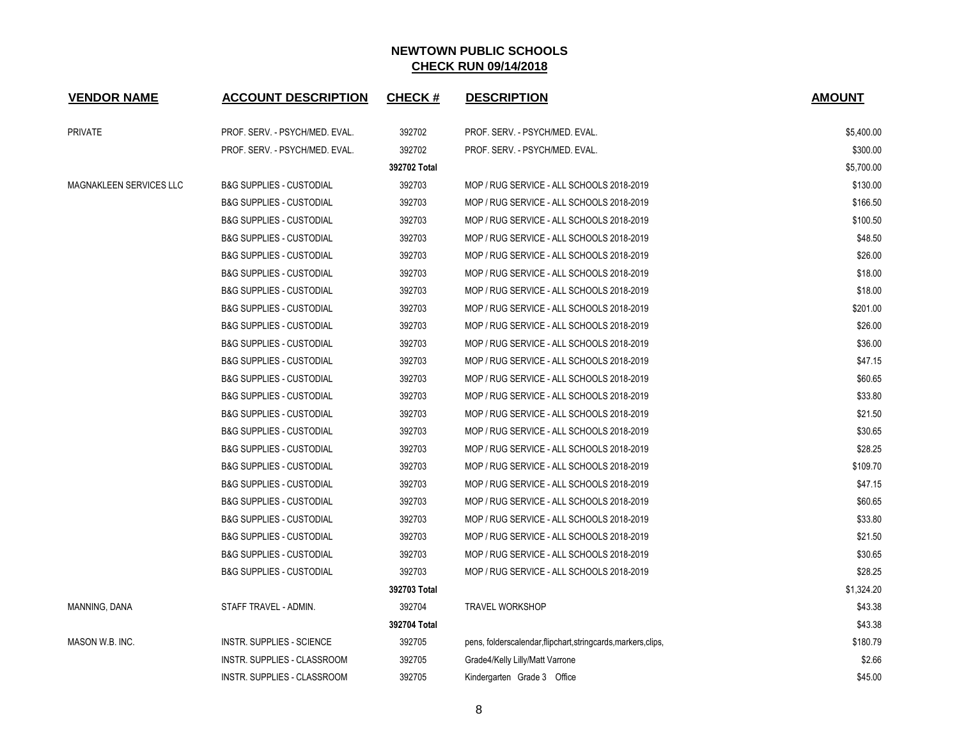| <b>VENDOR NAME</b>      | <b>ACCOUNT DESCRIPTION</b>          | <b>CHECK#</b> | <b>DESCRIPTION</b>                                             | <b>AMOUNT</b> |
|-------------------------|-------------------------------------|---------------|----------------------------------------------------------------|---------------|
| <b>PRIVATE</b>          | PROF. SERV. - PSYCH/MED. EVAL.      | 392702        | PROF. SERV. - PSYCH/MED. EVAL.                                 | \$5,400.00    |
|                         | PROF. SERV. - PSYCH/MED. EVAL.      | 392702        | PROF. SERV. - PSYCH/MED. EVAL.                                 | \$300.00      |
|                         |                                     | 392702 Total  |                                                                | \$5,700.00    |
| MAGNAKLEEN SERVICES LLC | <b>B&amp;G SUPPLIES - CUSTODIAL</b> | 392703        | MOP / RUG SERVICE - ALL SCHOOLS 2018-2019                      | \$130.00      |
|                         | <b>B&amp;G SUPPLIES - CUSTODIAL</b> | 392703        | MOP / RUG SERVICE - ALL SCHOOLS 2018-2019                      | \$166.50      |
|                         | <b>B&amp;G SUPPLIES - CUSTODIAL</b> | 392703        | MOP / RUG SERVICE - ALL SCHOOLS 2018-2019                      | \$100.50      |
|                         | <b>B&amp;G SUPPLIES - CUSTODIAL</b> | 392703        | MOP / RUG SERVICE - ALL SCHOOLS 2018-2019                      | \$48.50       |
|                         | <b>B&amp;G SUPPLIES - CUSTODIAL</b> | 392703        | MOP / RUG SERVICE - ALL SCHOOLS 2018-2019                      | \$26.00       |
|                         | <b>B&amp;G SUPPLIES - CUSTODIAL</b> | 392703        | MOP / RUG SERVICE - ALL SCHOOLS 2018-2019                      | \$18.00       |
|                         | <b>B&amp;G SUPPLIES - CUSTODIAL</b> | 392703        | MOP / RUG SERVICE - ALL SCHOOLS 2018-2019                      | \$18.00       |
|                         | <b>B&amp;G SUPPLIES - CUSTODIAL</b> | 392703        | MOP / RUG SERVICE - ALL SCHOOLS 2018-2019                      | \$201.00      |
|                         | <b>B&amp;G SUPPLIES - CUSTODIAL</b> | 392703        | MOP / RUG SERVICE - ALL SCHOOLS 2018-2019                      | \$26.00       |
|                         | <b>B&amp;G SUPPLIES - CUSTODIAL</b> | 392703        | MOP / RUG SERVICE - ALL SCHOOLS 2018-2019                      | \$36.00       |
|                         | <b>B&amp;G SUPPLIES - CUSTODIAL</b> | 392703        | MOP / RUG SERVICE - ALL SCHOOLS 2018-2019                      | \$47.15       |
|                         | <b>B&amp;G SUPPLIES - CUSTODIAL</b> | 392703        | MOP / RUG SERVICE - ALL SCHOOLS 2018-2019                      | \$60.65       |
|                         | <b>B&amp;G SUPPLIES - CUSTODIAL</b> | 392703        | MOP / RUG SERVICE - ALL SCHOOLS 2018-2019                      | \$33.80       |
|                         | <b>B&amp;G SUPPLIES - CUSTODIAL</b> | 392703        | MOP / RUG SERVICE - ALL SCHOOLS 2018-2019                      | \$21.50       |
|                         | <b>B&amp;G SUPPLIES - CUSTODIAL</b> | 392703        | MOP / RUG SERVICE - ALL SCHOOLS 2018-2019                      | \$30.65       |
|                         | <b>B&amp;G SUPPLIES - CUSTODIAL</b> | 392703        | MOP / RUG SERVICE - ALL SCHOOLS 2018-2019                      | \$28.25       |
|                         | <b>B&amp;G SUPPLIES - CUSTODIAL</b> | 392703        | MOP / RUG SERVICE - ALL SCHOOLS 2018-2019                      | \$109.70      |
|                         | <b>B&amp;G SUPPLIES - CUSTODIAL</b> | 392703        | MOP / RUG SERVICE - ALL SCHOOLS 2018-2019                      | \$47.15       |
|                         | <b>B&amp;G SUPPLIES - CUSTODIAL</b> | 392703        | MOP / RUG SERVICE - ALL SCHOOLS 2018-2019                      | \$60.65       |
|                         | <b>B&amp;G SUPPLIES - CUSTODIAL</b> | 392703        | MOP / RUG SERVICE - ALL SCHOOLS 2018-2019                      | \$33.80       |
|                         | <b>B&amp;G SUPPLIES - CUSTODIAL</b> | 392703        | MOP / RUG SERVICE - ALL SCHOOLS 2018-2019                      | \$21.50       |
|                         | <b>B&amp;G SUPPLIES - CUSTODIAL</b> | 392703        | MOP / RUG SERVICE - ALL SCHOOLS 2018-2019                      | \$30.65       |
|                         | <b>B&amp;G SUPPLIES - CUSTODIAL</b> | 392703        | MOP / RUG SERVICE - ALL SCHOOLS 2018-2019                      | \$28.25       |
|                         |                                     | 392703 Total  |                                                                | \$1,324.20    |
| MANNING, DANA           | STAFF TRAVEL - ADMIN.               | 392704        | <b>TRAVEL WORKSHOP</b>                                         | \$43.38       |
|                         |                                     | 392704 Total  |                                                                | \$43.38       |
| MASON W.B. INC.         | INSTR. SUPPLIES - SCIENCE           | 392705        | pens, folderscalendar, flipchart, stringcards, markers, clips, | \$180.79      |
|                         | INSTR. SUPPLIES - CLASSROOM         | 392705        | Grade4/Kelly Lilly/Matt Varrone                                | \$2.66        |
|                         | <b>INSTR. SUPPLIES - CLASSROOM</b>  | 392705        | Kindergarten Grade 3 Office                                    | \$45.00       |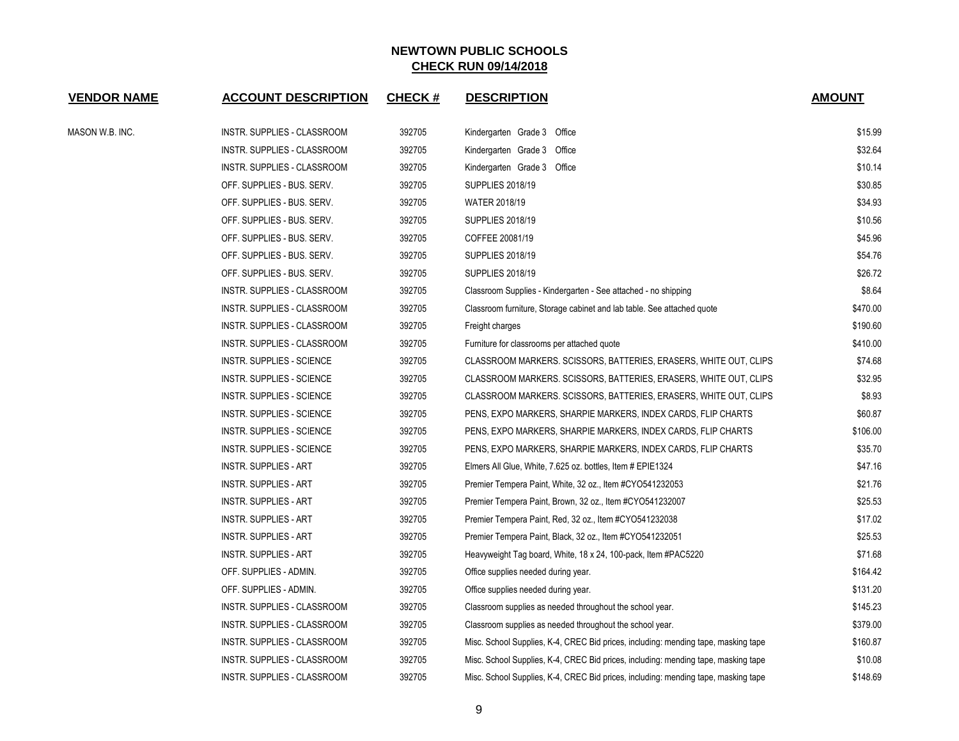| <b>VENDOR NAME</b> | <b>ACCOUNT DESCRIPTION</b>   | <b>CHECK#</b> | <b>DESCRIPTION</b>                                                                 | <b>AMOUNT</b> |
|--------------------|------------------------------|---------------|------------------------------------------------------------------------------------|---------------|
| MASON W.B. INC.    | INSTR. SUPPLIES - CLASSROOM  | 392705        | Kindergarten Grade 3 Office                                                        | \$15.99       |
|                    | INSTR. SUPPLIES - CLASSROOM  | 392705        | Kindergarten Grade 3 Office                                                        | \$32.64       |
|                    | INSTR. SUPPLIES - CLASSROOM  | 392705        | Kindergarten Grade 3 Office                                                        | \$10.14       |
|                    | OFF. SUPPLIES - BUS. SERV.   | 392705        | <b>SUPPLIES 2018/19</b>                                                            | \$30.85       |
|                    | OFF. SUPPLIES - BUS. SERV.   | 392705        | WATER 2018/19                                                                      | \$34.93       |
|                    | OFF. SUPPLIES - BUS. SERV.   | 392705        | <b>SUPPLIES 2018/19</b>                                                            | \$10.56       |
|                    | OFF. SUPPLIES - BUS. SERV.   | 392705        | COFFEE 20081/19                                                                    | \$45.96       |
|                    | OFF. SUPPLIES - BUS. SERV.   | 392705        | <b>SUPPLIES 2018/19</b>                                                            | \$54.76       |
|                    | OFF. SUPPLIES - BUS. SERV.   | 392705        | <b>SUPPLIES 2018/19</b>                                                            | \$26.72       |
|                    | INSTR. SUPPLIES - CLASSROOM  | 392705        | Classroom Supplies - Kindergarten - See attached - no shipping                     | \$8.64        |
|                    | INSTR. SUPPLIES - CLASSROOM  | 392705        | Classroom furniture, Storage cabinet and lab table. See attached quote             | \$470.00      |
|                    | INSTR. SUPPLIES - CLASSROOM  | 392705        | Freight charges                                                                    | \$190.60      |
|                    | INSTR. SUPPLIES - CLASSROOM  | 392705        | Furniture for classrooms per attached quote                                        | \$410.00      |
|                    | INSTR. SUPPLIES - SCIENCE    | 392705        | CLASSROOM MARKERS. SCISSORS, BATTERIES, ERASERS, WHITE OUT, CLIPS                  | \$74.68       |
|                    | INSTR. SUPPLIES - SCIENCE    | 392705        | CLASSROOM MARKERS. SCISSORS, BATTERIES, ERASERS, WHITE OUT, CLIPS                  | \$32.95       |
|                    | INSTR. SUPPLIES - SCIENCE    | 392705        | CLASSROOM MARKERS. SCISSORS, BATTERIES, ERASERS, WHITE OUT, CLIPS                  | \$8.93        |
|                    | INSTR. SUPPLIES - SCIENCE    | 392705        | PENS, EXPO MARKERS, SHARPIE MARKERS, INDEX CARDS, FLIP CHARTS                      | \$60.87       |
|                    | INSTR. SUPPLIES - SCIENCE    | 392705        | PENS, EXPO MARKERS, SHARPIE MARKERS, INDEX CARDS, FLIP CHARTS                      | \$106.00      |
|                    | INSTR. SUPPLIES - SCIENCE    | 392705        | PENS, EXPO MARKERS, SHARPIE MARKERS, INDEX CARDS, FLIP CHARTS                      | \$35.70       |
|                    | <b>INSTR. SUPPLIES - ART</b> | 392705        | Elmers All Glue, White, 7.625 oz. bottles, Item # EPIE1324                         | \$47.16       |
|                    | <b>INSTR. SUPPLIES - ART</b> | 392705        | Premier Tempera Paint, White, 32 oz., Item #CYO541232053                           | \$21.76       |
|                    | <b>INSTR. SUPPLIES - ART</b> | 392705        | Premier Tempera Paint, Brown, 32 oz., Item #CYO541232007                           | \$25.53       |
|                    | INSTR. SUPPLIES - ART        | 392705        | Premier Tempera Paint, Red, 32 oz., Item #CYO541232038                             | \$17.02       |
|                    | <b>INSTR. SUPPLIES - ART</b> | 392705        | Premier Tempera Paint, Black, 32 oz., Item #CYO541232051                           | \$25.53       |
|                    | INSTR. SUPPLIES - ART        | 392705        | Heavyweight Tag board, White, 18 x 24, 100-pack, Item #PAC5220                     | \$71.68       |
|                    | OFF. SUPPLIES - ADMIN.       | 392705        | Office supplies needed during year.                                                | \$164.42      |
|                    | OFF. SUPPLIES - ADMIN.       | 392705        | Office supplies needed during year.                                                | \$131.20      |
|                    | INSTR. SUPPLIES - CLASSROOM  | 392705        | Classroom supplies as needed throughout the school year.                           | \$145.23      |
|                    | INSTR. SUPPLIES - CLASSROOM  | 392705        | Classroom supplies as needed throughout the school year.                           | \$379.00      |
|                    | INSTR. SUPPLIES - CLASSROOM  | 392705        | Misc. School Supplies, K-4, CREC Bid prices, including: mending tape, masking tape | \$160.87      |
|                    | INSTR. SUPPLIES - CLASSROOM  | 392705        | Misc. School Supplies, K-4, CREC Bid prices, including: mending tape, masking tape | \$10.08       |
|                    | INSTR. SUPPLIES - CLASSROOM  | 392705        | Misc. School Supplies, K-4, CREC Bid prices, including: mending tape, masking tape | \$148.69      |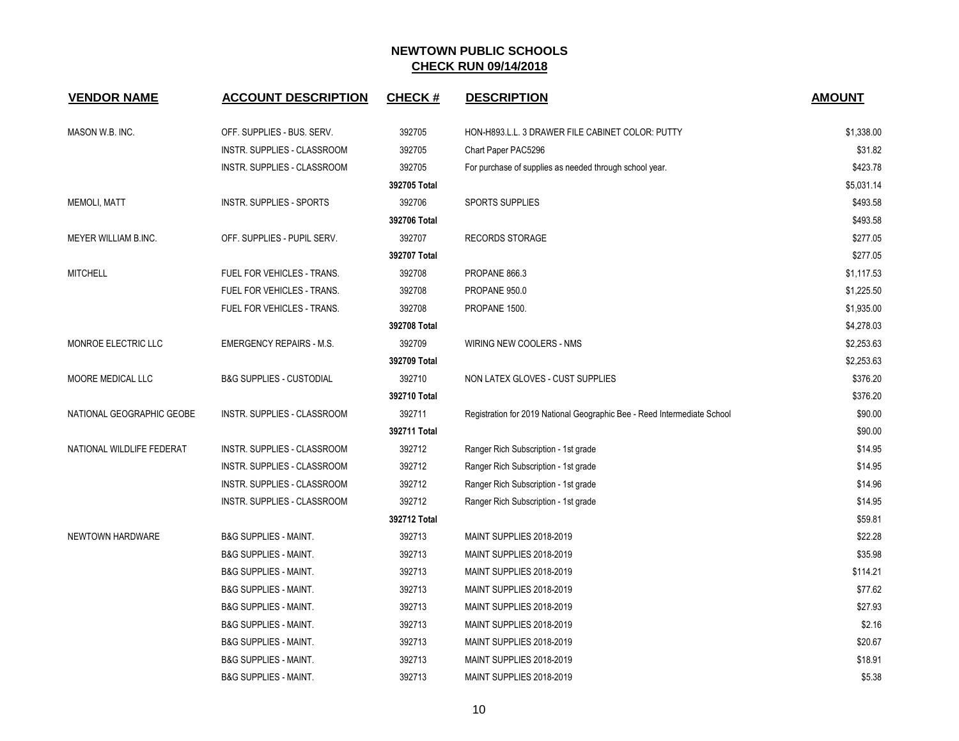| <b>VENDOR NAME</b>        | <b>ACCOUNT DESCRIPTION</b>          | <b>CHECK#</b> | <b>DESCRIPTION</b>                                                       | <b>AMOUNT</b> |
|---------------------------|-------------------------------------|---------------|--------------------------------------------------------------------------|---------------|
| MASON W.B. INC.           | OFF. SUPPLIES - BUS. SERV.          | 392705        | HON-H893.L.L. 3 DRAWER FILE CABINET COLOR: PUTTY                         | \$1,338.00    |
|                           | INSTR. SUPPLIES - CLASSROOM         | 392705        | Chart Paper PAC5296                                                      | \$31.82       |
|                           | INSTR. SUPPLIES - CLASSROOM         | 392705        | For purchase of supplies as needed through school year.                  | \$423.78      |
|                           |                                     | 392705 Total  |                                                                          | \$5,031.14    |
| <b>MEMOLI, MATT</b>       | INSTR. SUPPLIES - SPORTS            | 392706        | <b>SPORTS SUPPLIES</b>                                                   | \$493.58      |
|                           |                                     | 392706 Total  |                                                                          | \$493.58      |
| MEYER WILLIAM B.INC.      | OFF. SUPPLIES - PUPIL SERV.         | 392707        | <b>RECORDS STORAGE</b>                                                   | \$277.05      |
|                           |                                     | 392707 Total  |                                                                          | \$277.05      |
| <b>MITCHELL</b>           | FUEL FOR VEHICLES - TRANS.          | 392708        | PROPANE 866.3                                                            | \$1,117.53    |
|                           | <b>FUEL FOR VEHICLES - TRANS.</b>   | 392708        | PROPANE 950.0                                                            | \$1,225.50    |
|                           | FUEL FOR VEHICLES - TRANS.          | 392708        | PROPANE 1500.                                                            | \$1,935.00    |
|                           |                                     | 392708 Total  |                                                                          | \$4,278.03    |
| MONROE ELECTRIC LLC       | <b>EMERGENCY REPAIRS - M.S.</b>     | 392709        | WIRING NEW COOLERS - NMS                                                 | \$2,253.63    |
|                           |                                     | 392709 Total  |                                                                          | \$2,253.63    |
| MOORE MEDICAL LLC         | <b>B&amp;G SUPPLIES - CUSTODIAL</b> | 392710        | NON LATEX GLOVES - CUST SUPPLIES                                         | \$376.20      |
|                           |                                     | 392710 Total  |                                                                          | \$376.20      |
| NATIONAL GEOGRAPHIC GEOBE | INSTR. SUPPLIES - CLASSROOM         | 392711        | Registration for 2019 National Geographic Bee - Reed Intermediate School | \$90.00       |
|                           |                                     | 392711 Total  |                                                                          | \$90.00       |
| NATIONAL WILDLIFE FEDERAT | INSTR. SUPPLIES - CLASSROOM         | 392712        | Ranger Rich Subscription - 1st grade                                     | \$14.95       |
|                           | INSTR. SUPPLIES - CLASSROOM         | 392712        | Ranger Rich Subscription - 1st grade                                     | \$14.95       |
|                           | INSTR. SUPPLIES - CLASSROOM         | 392712        | Ranger Rich Subscription - 1st grade                                     | \$14.96       |
|                           | INSTR. SUPPLIES - CLASSROOM         | 392712        | Ranger Rich Subscription - 1st grade                                     | \$14.95       |
|                           |                                     | 392712 Total  |                                                                          | \$59.81       |
| NEWTOWN HARDWARE          | <b>B&amp;G SUPPLIES - MAINT.</b>    | 392713        | MAINT SUPPLIES 2018-2019                                                 | \$22.28       |
|                           | <b>B&amp;G SUPPLIES - MAINT.</b>    | 392713        | MAINT SUPPLIES 2018-2019                                                 | \$35.98       |
|                           | <b>B&amp;G SUPPLIES - MAINT.</b>    | 392713        | MAINT SUPPLIES 2018-2019                                                 | \$114.21      |
|                           | <b>B&amp;G SUPPLIES - MAINT.</b>    | 392713        | MAINT SUPPLIES 2018-2019                                                 | \$77.62       |
|                           | <b>B&amp;G SUPPLIES - MAINT.</b>    | 392713        | MAINT SUPPLIES 2018-2019                                                 | \$27.93       |
|                           | <b>B&amp;G SUPPLIES - MAINT.</b>    | 392713        | MAINT SUPPLIES 2018-2019                                                 | \$2.16        |
|                           | <b>B&amp;G SUPPLIES - MAINT.</b>    | 392713        | MAINT SUPPLIES 2018-2019                                                 | \$20.67       |
|                           | <b>B&amp;G SUPPLIES - MAINT.</b>    | 392713        | MAINT SUPPLIES 2018-2019                                                 | \$18.91       |
|                           | <b>B&amp;G SUPPLIES - MAINT.</b>    | 392713        | MAINT SUPPLIES 2018-2019                                                 | \$5.38        |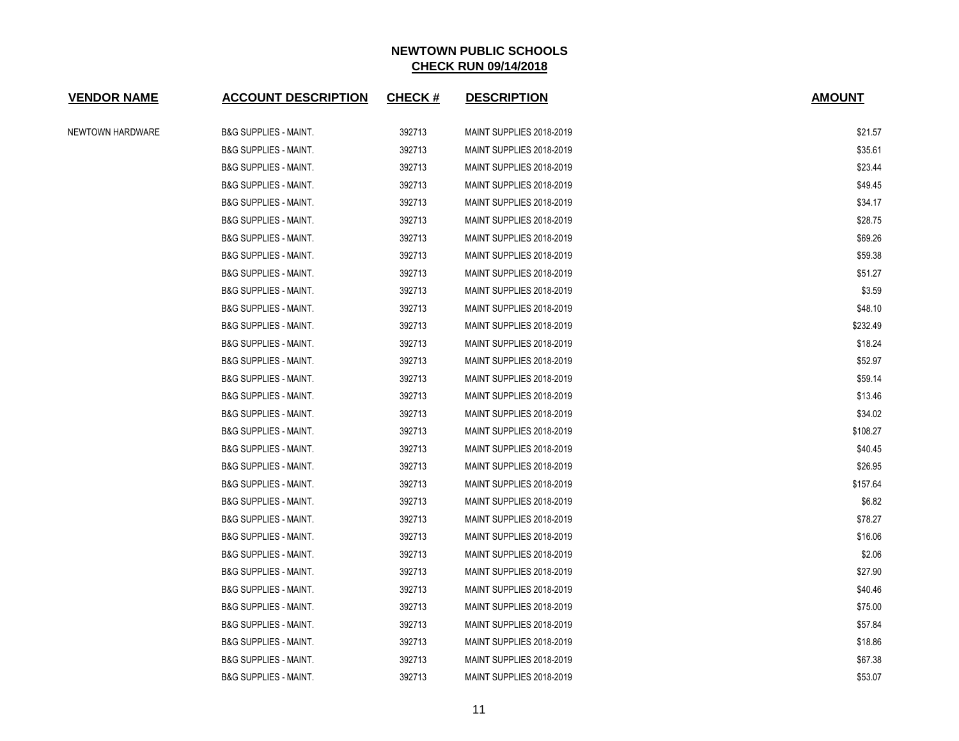| <b>VENDOR NAME</b> | <b>ACCOUNT DESCRIPTION</b>       | <b>CHECK#</b> | <b>DESCRIPTION</b>       | <b>AMOUNT</b> |
|--------------------|----------------------------------|---------------|--------------------------|---------------|
| NEWTOWN HARDWARE   | <b>B&amp;G SUPPLIES - MAINT.</b> | 392713        | MAINT SUPPLIES 2018-2019 | \$21.57       |
|                    | <b>B&amp;G SUPPLIES - MAINT.</b> | 392713        | MAINT SUPPLIES 2018-2019 | \$35.61       |
|                    | <b>B&amp;G SUPPLIES - MAINT.</b> | 392713        | MAINT SUPPLIES 2018-2019 | \$23.44       |
|                    | <b>B&amp;G SUPPLIES - MAINT.</b> | 392713        | MAINT SUPPLIES 2018-2019 | \$49.45       |
|                    | <b>B&amp;G SUPPLIES - MAINT.</b> | 392713        | MAINT SUPPLIES 2018-2019 | \$34.17       |
|                    | <b>B&amp;G SUPPLIES - MAINT.</b> | 392713        | MAINT SUPPLIES 2018-2019 | \$28.75       |
|                    | <b>B&amp;G SUPPLIES - MAINT.</b> | 392713        | MAINT SUPPLIES 2018-2019 | \$69.26       |
|                    | <b>B&amp;G SUPPLIES - MAINT.</b> | 392713        | MAINT SUPPLIES 2018-2019 | \$59.38       |
|                    | <b>B&amp;G SUPPLIES - MAINT.</b> | 392713        | MAINT SUPPLIES 2018-2019 | \$51.27       |
|                    | <b>B&amp;G SUPPLIES - MAINT.</b> | 392713        | MAINT SUPPLIES 2018-2019 | \$3.59        |
|                    | <b>B&amp;G SUPPLIES - MAINT.</b> | 392713        | MAINT SUPPLIES 2018-2019 | \$48.10       |
|                    | <b>B&amp;G SUPPLIES - MAINT.</b> | 392713        | MAINT SUPPLIES 2018-2019 | \$232.49      |
|                    | <b>B&amp;G SUPPLIES - MAINT.</b> | 392713        | MAINT SUPPLIES 2018-2019 | \$18.24       |
|                    | <b>B&amp;G SUPPLIES - MAINT.</b> | 392713        | MAINT SUPPLIES 2018-2019 | \$52.97       |
|                    | <b>B&amp;G SUPPLIES - MAINT.</b> | 392713        | MAINT SUPPLIES 2018-2019 | \$59.14       |
|                    | <b>B&amp;G SUPPLIES - MAINT.</b> | 392713        | MAINT SUPPLIES 2018-2019 | \$13.46       |
|                    | <b>B&amp;G SUPPLIES - MAINT.</b> | 392713        | MAINT SUPPLIES 2018-2019 | \$34.02       |
|                    | <b>B&amp;G SUPPLIES - MAINT.</b> | 392713        | MAINT SUPPLIES 2018-2019 | \$108.27      |
|                    | <b>B&amp;G SUPPLIES - MAINT.</b> | 392713        | MAINT SUPPLIES 2018-2019 | \$40.45       |
|                    | <b>B&amp;G SUPPLIES - MAINT.</b> | 392713        | MAINT SUPPLIES 2018-2019 | \$26.95       |
|                    | <b>B&amp;G SUPPLIES - MAINT.</b> | 392713        | MAINT SUPPLIES 2018-2019 | \$157.64      |
|                    | <b>B&amp;G SUPPLIES - MAINT.</b> | 392713        | MAINT SUPPLIES 2018-2019 | \$6.82        |
|                    | <b>B&amp;G SUPPLIES - MAINT.</b> | 392713        | MAINT SUPPLIES 2018-2019 | \$78.27       |
|                    | <b>B&amp;G SUPPLIES - MAINT.</b> | 392713        | MAINT SUPPLIES 2018-2019 | \$16.06       |
|                    | <b>B&amp;G SUPPLIES - MAINT.</b> | 392713        | MAINT SUPPLIES 2018-2019 | \$2.06        |
|                    | <b>B&amp;G SUPPLIES - MAINT.</b> | 392713        | MAINT SUPPLIES 2018-2019 | \$27.90       |
|                    | <b>B&amp;G SUPPLIES - MAINT.</b> | 392713        | MAINT SUPPLIES 2018-2019 | \$40.46       |
|                    | <b>B&amp;G SUPPLIES - MAINT.</b> | 392713        | MAINT SUPPLIES 2018-2019 | \$75.00       |
|                    | <b>B&amp;G SUPPLIES - MAINT.</b> | 392713        | MAINT SUPPLIES 2018-2019 | \$57.84       |
|                    | <b>B&amp;G SUPPLIES - MAINT.</b> | 392713        | MAINT SUPPLIES 2018-2019 | \$18.86       |
|                    | <b>B&amp;G SUPPLIES - MAINT.</b> | 392713        | MAINT SUPPLIES 2018-2019 | \$67.38       |
|                    | <b>B&amp;G SUPPLIES - MAINT.</b> | 392713        | MAINT SUPPLIES 2018-2019 | \$53.07       |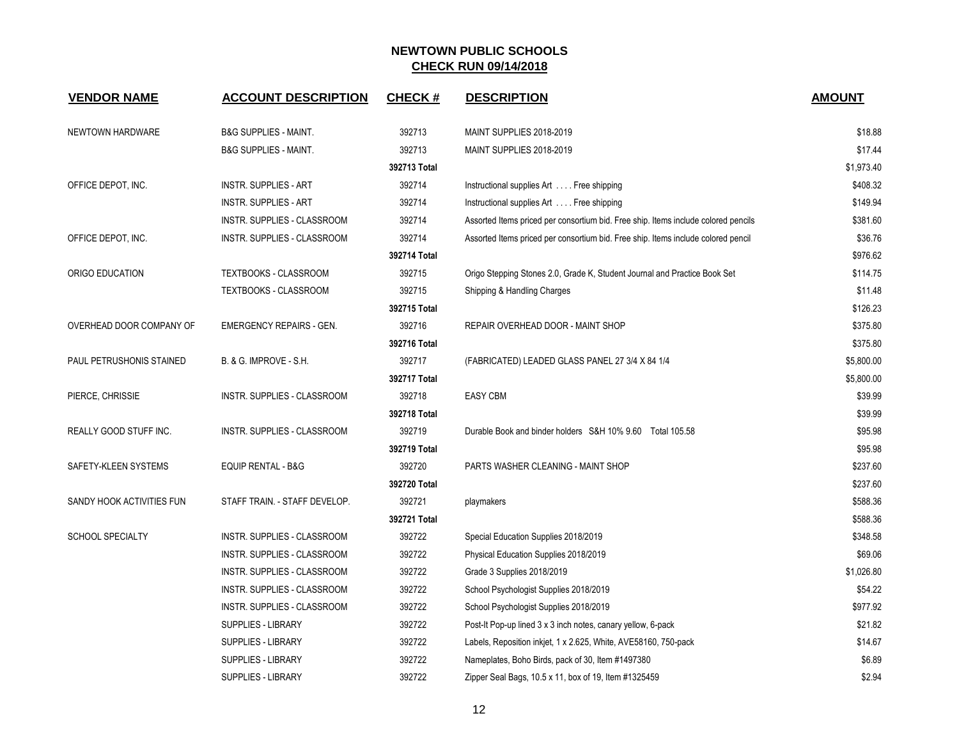| <b>VENDOR NAME</b>        | <b>ACCOUNT DESCRIPTION</b>         | <b>CHECK#</b> | <b>DESCRIPTION</b>                                                                 | <b>AMOUNT</b> |
|---------------------------|------------------------------------|---------------|------------------------------------------------------------------------------------|---------------|
| NEWTOWN HARDWARE          | <b>B&amp;G SUPPLIES - MAINT.</b>   | 392713        | MAINT SUPPLIES 2018-2019                                                           | \$18.88       |
|                           | <b>B&amp;G SUPPLIES - MAINT.</b>   | 392713        | MAINT SUPPLIES 2018-2019                                                           | \$17.44       |
|                           |                                    | 392713 Total  |                                                                                    | \$1,973.40    |
| OFFICE DEPOT, INC.        | <b>INSTR. SUPPLIES - ART</b>       | 392714        | Instructional supplies Art Free shipping                                           | \$408.32      |
|                           | <b>INSTR. SUPPLIES - ART</b>       | 392714        | Instructional supplies Art  Free shipping                                          | \$149.94      |
|                           | <b>INSTR. SUPPLIES - CLASSROOM</b> | 392714        | Assorted Items priced per consortium bid. Free ship. Items include colored pencils | \$381.60      |
| OFFICE DEPOT, INC.        | INSTR. SUPPLIES - CLASSROOM        | 392714        | Assorted Items priced per consortium bid. Free ship. Items include colored pencil  | \$36.76       |
|                           |                                    | 392714 Total  |                                                                                    | \$976.62      |
| ORIGO EDUCATION           | TEXTBOOKS - CLASSROOM              | 392715        | Origo Stepping Stones 2.0, Grade K, Student Journal and Practice Book Set          | \$114.75      |
|                           | TEXTBOOKS - CLASSROOM              | 392715        | Shipping & Handling Charges                                                        | \$11.48       |
|                           |                                    | 392715 Total  |                                                                                    | \$126.23      |
| OVERHEAD DOOR COMPANY OF  | <b>EMERGENCY REPAIRS - GEN.</b>    | 392716        | REPAIR OVERHEAD DOOR - MAINT SHOP                                                  | \$375.80      |
|                           |                                    | 392716 Total  |                                                                                    | \$375.80      |
| PAUL PETRUSHONIS STAINED  | B. & G. IMPROVE - S.H.             | 392717        | (FABRICATED) LEADED GLASS PANEL 27 3/4 X 84 1/4                                    | \$5,800.00    |
|                           |                                    | 392717 Total  |                                                                                    | \$5,800.00    |
| PIERCE, CHRISSIE          | INSTR. SUPPLIES - CLASSROOM        | 392718        | <b>EASY CBM</b>                                                                    | \$39.99       |
|                           |                                    | 392718 Total  |                                                                                    | \$39.99       |
| REALLY GOOD STUFF INC.    | INSTR. SUPPLIES - CLASSROOM        | 392719        | Durable Book and binder holders S&H 10% 9.60 Total 105.58                          | \$95.98       |
|                           |                                    | 392719 Total  |                                                                                    | \$95.98       |
| SAFETY-KLEEN SYSTEMS      | EQUIP RENTAL - B&G                 | 392720        | PARTS WASHER CLEANING - MAINT SHOP                                                 | \$237.60      |
|                           |                                    | 392720 Total  |                                                                                    | \$237.60      |
| SANDY HOOK ACTIVITIES FUN | STAFF TRAIN. - STAFF DEVELOP.      | 392721        | playmakers                                                                         | \$588.36      |
|                           |                                    | 392721 Total  |                                                                                    | \$588.36      |
| <b>SCHOOL SPECIALTY</b>   | INSTR. SUPPLIES - CLASSROOM        | 392722        | Special Education Supplies 2018/2019                                               | \$348.58      |
|                           | INSTR. SUPPLIES - CLASSROOM        | 392722        | Physical Education Supplies 2018/2019                                              | \$69.06       |
|                           | INSTR. SUPPLIES - CLASSROOM        | 392722        | Grade 3 Supplies 2018/2019                                                         | \$1,026.80    |
|                           | INSTR. SUPPLIES - CLASSROOM        | 392722        | School Psychologist Supplies 2018/2019                                             | \$54.22       |
|                           | INSTR. SUPPLIES - CLASSROOM        | 392722        | School Psychologist Supplies 2018/2019                                             | \$977.92      |
|                           | SUPPLIES - LIBRARY                 | 392722        | Post-It Pop-up lined 3 x 3 inch notes, canary yellow, 6-pack                       | \$21.82       |
|                           | SUPPLIES - LIBRARY                 | 392722        | Labels, Reposition inkjet, 1 x 2.625, White, AVE58160, 750-pack                    | \$14.67       |
|                           | <b>SUPPLIES - LIBRARY</b>          | 392722        | Nameplates, Boho Birds, pack of 30, Item #1497380                                  | \$6.89        |
|                           | <b>SUPPLIES - LIBRARY</b>          | 392722        | Zipper Seal Bags, 10.5 x 11, box of 19, Item #1325459                              | \$2.94        |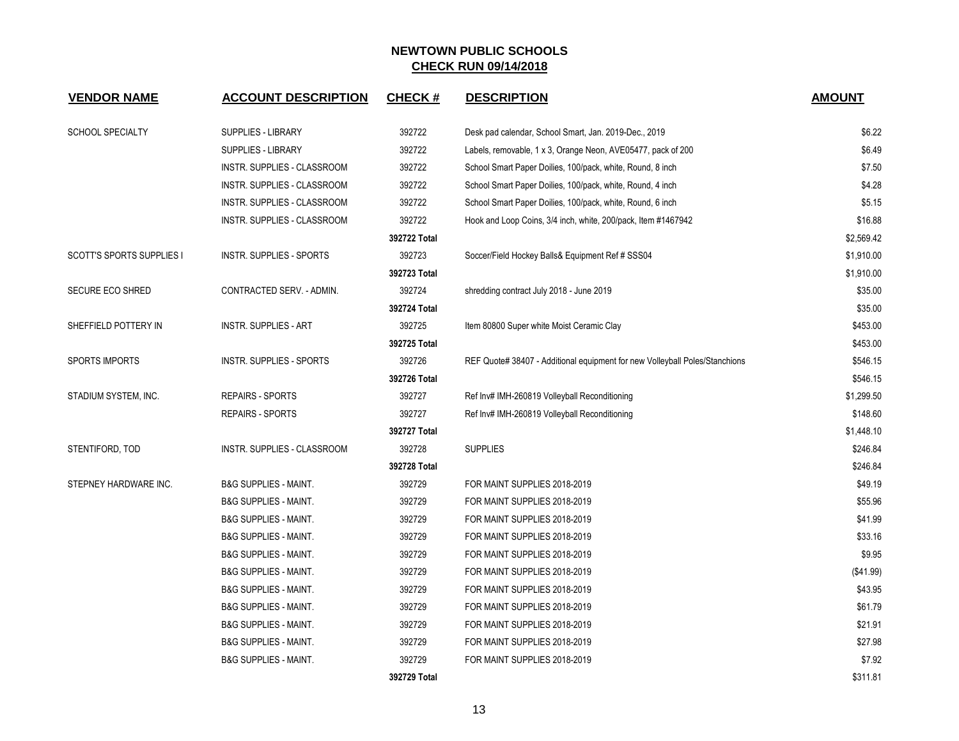| <b>VENDOR NAME</b>               | <b>ACCOUNT DESCRIPTION</b>       | <b>CHECK#</b> | <b>DESCRIPTION</b>                                                          | <b>AMOUNT</b> |
|----------------------------------|----------------------------------|---------------|-----------------------------------------------------------------------------|---------------|
| <b>SCHOOL SPECIALTY</b>          | SUPPLIES - LIBRARY               | 392722        | Desk pad calendar, School Smart, Jan. 2019-Dec., 2019                       | \$6.22        |
|                                  | SUPPLIES - LIBRARY               | 392722        | Labels, removable, 1 x 3, Orange Neon, AVE05477, pack of 200                | \$6.49        |
|                                  | INSTR. SUPPLIES - CLASSROOM      | 392722        | School Smart Paper Doilies, 100/pack, white, Round, 8 inch                  | \$7.50        |
|                                  | INSTR. SUPPLIES - CLASSROOM      | 392722        | School Smart Paper Doilies, 100/pack, white, Round, 4 inch                  | \$4.28        |
|                                  | INSTR. SUPPLIES - CLASSROOM      | 392722        | School Smart Paper Doilies, 100/pack, white, Round, 6 inch                  | \$5.15        |
|                                  | INSTR. SUPPLIES - CLASSROOM      | 392722        | Hook and Loop Coins, 3/4 inch, white, 200/pack, Item #1467942               | \$16.88       |
|                                  |                                  | 392722 Total  |                                                                             | \$2,569.42    |
| <b>SCOTT'S SPORTS SUPPLIES I</b> | INSTR. SUPPLIES - SPORTS         | 392723        | Soccer/Field Hockey Balls& Equipment Ref # SSS04                            | \$1,910.00    |
|                                  |                                  | 392723 Total  |                                                                             | \$1,910.00    |
| <b>SECURE ECO SHRED</b>          | CONTRACTED SERV. - ADMIN.        | 392724        | shredding contract July 2018 - June 2019                                    | \$35.00       |
|                                  |                                  | 392724 Total  |                                                                             | \$35.00       |
| SHEFFIELD POTTERY IN             | <b>INSTR. SUPPLIES - ART</b>     | 392725        | Item 80800 Super white Moist Ceramic Clay                                   | \$453.00      |
|                                  |                                  | 392725 Total  |                                                                             | \$453.00      |
| SPORTS IMPORTS                   | INSTR. SUPPLIES - SPORTS         | 392726        | REF Quote# 38407 - Additional equipment for new Volleyball Poles/Stanchions | \$546.15      |
|                                  |                                  | 392726 Total  |                                                                             | \$546.15      |
| STADIUM SYSTEM, INC.             | <b>REPAIRS - SPORTS</b>          | 392727        | Ref Inv# IMH-260819 Volleyball Reconditioning                               | \$1,299.50    |
|                                  | REPAIRS - SPORTS                 | 392727        | Ref Inv# IMH-260819 Volleyball Reconditioning                               | \$148.60      |
|                                  |                                  | 392727 Total  |                                                                             | \$1,448.10    |
| STENTIFORD, TOD                  | INSTR. SUPPLIES - CLASSROOM      | 392728        | <b>SUPPLIES</b>                                                             | \$246.84      |
|                                  |                                  | 392728 Total  |                                                                             | \$246.84      |
| STEPNEY HARDWARE INC.            | <b>B&amp;G SUPPLIES - MAINT.</b> | 392729        | FOR MAINT SUPPLIES 2018-2019                                                | \$49.19       |
|                                  | <b>B&amp;G SUPPLIES - MAINT.</b> | 392729        | FOR MAINT SUPPLIES 2018-2019                                                | \$55.96       |
|                                  | <b>B&amp;G SUPPLIES - MAINT.</b> | 392729        | FOR MAINT SUPPLIES 2018-2019                                                | \$41.99       |
|                                  | <b>B&amp;G SUPPLIES - MAINT.</b> | 392729        | FOR MAINT SUPPLIES 2018-2019                                                | \$33.16       |
|                                  | <b>B&amp;G SUPPLIES - MAINT.</b> | 392729        | FOR MAINT SUPPLIES 2018-2019                                                | \$9.95        |
|                                  | <b>B&amp;G SUPPLIES - MAINT.</b> | 392729        | FOR MAINT SUPPLIES 2018-2019                                                | (\$41.99)     |
|                                  | <b>B&amp;G SUPPLIES - MAINT.</b> | 392729        | FOR MAINT SUPPLIES 2018-2019                                                | \$43.95       |
|                                  | <b>B&amp;G SUPPLIES - MAINT.</b> | 392729        | FOR MAINT SUPPLIES 2018-2019                                                | \$61.79       |
|                                  | <b>B&amp;G SUPPLIES - MAINT.</b> | 392729        | FOR MAINT SUPPLIES 2018-2019                                                | \$21.91       |
|                                  | <b>B&amp;G SUPPLIES - MAINT.</b> | 392729        | FOR MAINT SUPPLIES 2018-2019                                                | \$27.98       |
|                                  | <b>B&amp;G SUPPLIES - MAINT.</b> | 392729        | FOR MAINT SUPPLIES 2018-2019                                                | \$7.92        |
|                                  |                                  | 392729 Total  |                                                                             | \$311.81      |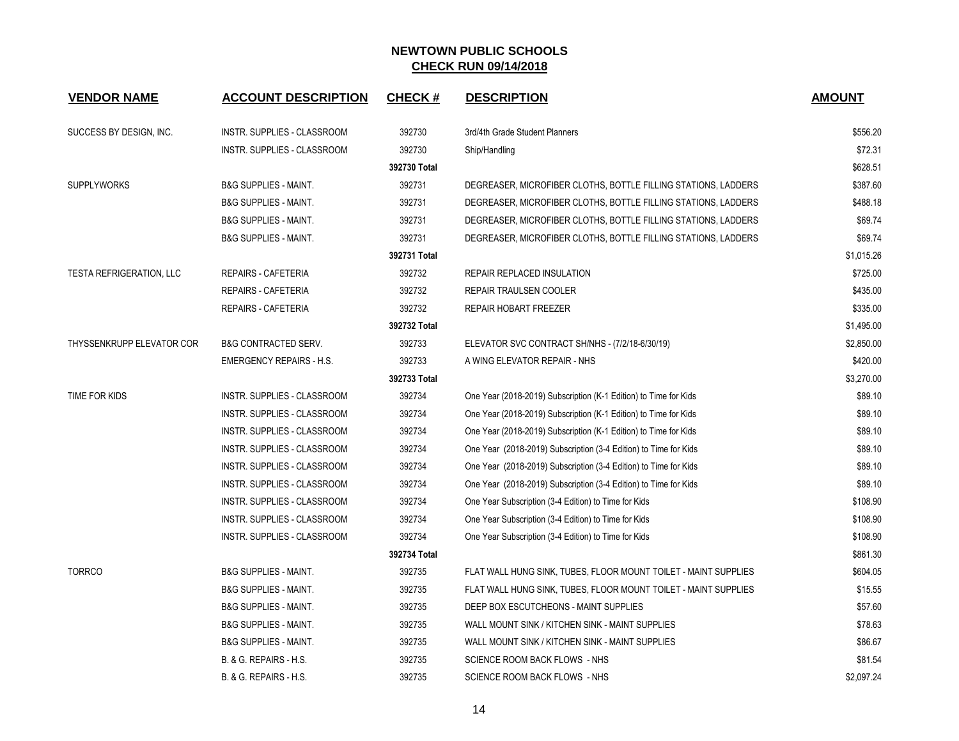| <b>VENDOR NAME</b>              | <b>ACCOUNT DESCRIPTION</b>       | <b>CHECK#</b> | <b>DESCRIPTION</b>                                               | <b>AMOUNT</b> |
|---------------------------------|----------------------------------|---------------|------------------------------------------------------------------|---------------|
| SUCCESS BY DESIGN, INC.         | INSTR. SUPPLIES - CLASSROOM      | 392730        | 3rd/4th Grade Student Planners                                   | \$556.20      |
|                                 | INSTR. SUPPLIES - CLASSROOM      | 392730        | Ship/Handling                                                    | \$72.31       |
|                                 |                                  | 392730 Total  |                                                                  | \$628.51      |
| <b>SUPPLYWORKS</b>              | <b>B&amp;G SUPPLIES - MAINT.</b> | 392731        | DEGREASER, MICROFIBER CLOTHS, BOTTLE FILLING STATIONS, LADDERS   | \$387.60      |
|                                 | <b>B&amp;G SUPPLIES - MAINT.</b> | 392731        | DEGREASER, MICROFIBER CLOTHS, BOTTLE FILLING STATIONS, LADDERS   | \$488.18      |
|                                 | <b>B&amp;G SUPPLIES - MAINT.</b> | 392731        | DEGREASER, MICROFIBER CLOTHS, BOTTLE FILLING STATIONS, LADDERS   | \$69.74       |
|                                 | <b>B&amp;G SUPPLIES - MAINT.</b> | 392731        | DEGREASER, MICROFIBER CLOTHS, BOTTLE FILLING STATIONS, LADDERS   | \$69.74       |
|                                 |                                  | 392731 Total  |                                                                  | \$1,015.26    |
| <b>TESTA REFRIGERATION, LLC</b> | REPAIRS - CAFETERIA              | 392732        | REPAIR REPLACED INSULATION                                       | \$725.00      |
|                                 | REPAIRS - CAFETERIA              | 392732        | <b>REPAIR TRAULSEN COOLER</b>                                    | \$435.00      |
|                                 | REPAIRS - CAFETERIA              | 392732        | REPAIR HOBART FREEZER                                            | \$335.00      |
|                                 |                                  | 392732 Total  |                                                                  | \$1,495.00    |
| THYSSENKRUPP ELEVATOR COR       | <b>B&amp;G CONTRACTED SERV.</b>  | 392733        | ELEVATOR SVC CONTRACT SH/NHS - (7/2/18-6/30/19)                  | \$2,850.00    |
|                                 | <b>EMERGENCY REPAIRS - H.S.</b>  | 392733        | A WING ELEVATOR REPAIR - NHS                                     | \$420.00      |
|                                 |                                  | 392733 Total  |                                                                  | \$3,270.00    |
| TIME FOR KIDS                   | INSTR. SUPPLIES - CLASSROOM      | 392734        | One Year (2018-2019) Subscription (K-1 Edition) to Time for Kids | \$89.10       |
|                                 | INSTR. SUPPLIES - CLASSROOM      | 392734        | One Year (2018-2019) Subscription (K-1 Edition) to Time for Kids | \$89.10       |
|                                 | INSTR. SUPPLIES - CLASSROOM      | 392734        | One Year (2018-2019) Subscription (K-1 Edition) to Time for Kids | \$89.10       |
|                                 | INSTR. SUPPLIES - CLASSROOM      | 392734        | One Year (2018-2019) Subscription (3-4 Edition) to Time for Kids | \$89.10       |
|                                 | INSTR. SUPPLIES - CLASSROOM      | 392734        | One Year (2018-2019) Subscription (3-4 Edition) to Time for Kids | \$89.10       |
|                                 | INSTR. SUPPLIES - CLASSROOM      | 392734        | One Year (2018-2019) Subscription (3-4 Edition) to Time for Kids | \$89.10       |
|                                 | INSTR. SUPPLIES - CLASSROOM      | 392734        | One Year Subscription (3-4 Edition) to Time for Kids             | \$108.90      |
|                                 | INSTR. SUPPLIES - CLASSROOM      | 392734        | One Year Subscription (3-4 Edition) to Time for Kids             | \$108.90      |
|                                 | INSTR. SUPPLIES - CLASSROOM      | 392734        | One Year Subscription (3-4 Edition) to Time for Kids             | \$108.90      |
|                                 |                                  | 392734 Total  |                                                                  | \$861.30      |
| <b>TORRCO</b>                   | <b>B&amp;G SUPPLIES - MAINT.</b> | 392735        | FLAT WALL HUNG SINK, TUBES, FLOOR MOUNT TOILET - MAINT SUPPLIES  | \$604.05      |
|                                 | <b>B&amp;G SUPPLIES - MAINT.</b> | 392735        | FLAT WALL HUNG SINK, TUBES, FLOOR MOUNT TOILET - MAINT SUPPLIES  | \$15.55       |
|                                 | <b>B&amp;G SUPPLIES - MAINT.</b> | 392735        | DEEP BOX ESCUTCHEONS - MAINT SUPPLIES                            | \$57.60       |
|                                 | B&G SUPPLIES - MAINT.            | 392735        | WALL MOUNT SINK / KITCHEN SINK - MAINT SUPPLIES                  | \$78.63       |
|                                 | <b>B&amp;G SUPPLIES - MAINT.</b> | 392735        | WALL MOUNT SINK / KITCHEN SINK - MAINT SUPPLIES                  | \$86.67       |
|                                 | B. & G. REPAIRS - H.S.           | 392735        | <b>SCIENCE ROOM BACK FLOWS - NHS</b>                             | \$81.54       |
|                                 | B. & G. REPAIRS - H.S.           | 392735        | SCIENCE ROOM BACK FLOWS - NHS                                    | \$2,097.24    |